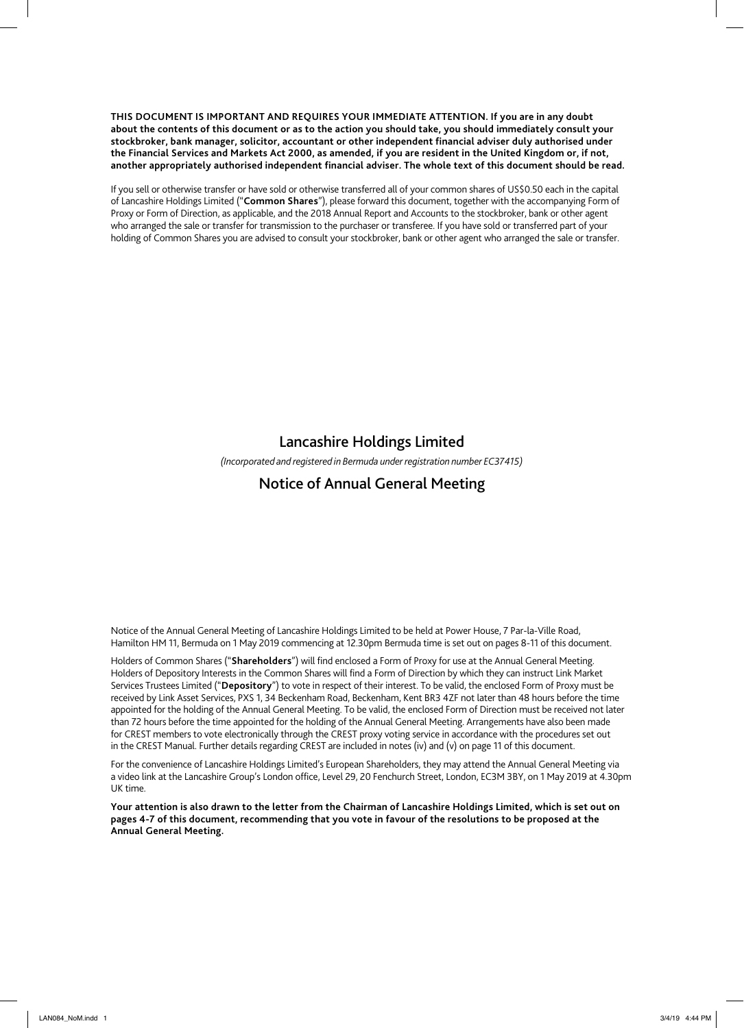**THIS DOCUMENT IS IMPORTANT AND REQUIRES YOUR IMMEDIATE ATTENTION. If you are in any doubt about the contents of this document or as to the action you should take, you should immediately consult your stockbroker, bank manager, solicitor, accountant or other independent financial adviser duly authorised under the Financial Services and Markets Act 2000, as amended, if you are resident in the United Kingdom or, if not, another appropriately authorised independent financial adviser. The whole text of this document should be read.** 

If you sell or otherwise transfer or have sold or otherwise transferred all of your common shares of US\$0.50 each in the capital of Lancashire Holdings Limited ("**Common Shares**"), please forward this document, together with the accompanying Form of Proxy or Form of Direction, as applicable, and the 2018 Annual Report and Accounts to the stockbroker, bank or other agent who arranged the sale or transfer for transmission to the purchaser or transferee. If you have sold or transferred part of your holding of Common Shares you are advised to consult your stockbroker, bank or other agent who arranged the sale or transfer.

# Lancashire Holdings Limited

*(Incorporated and registered in Bermuda under registration number EC37415)* 

# Notice of Annual General Meeting

Notice of the Annual General Meeting of Lancashire Holdings Limited to be held at Power House, 7 Par-la-Ville Road, Hamilton HM 11, Bermuda on 1 May 2019 commencing at 12.30pm Bermuda time is set out on pages 8-11 of this document.

Holders of Common Shares ("**Shareholders**") will find enclosed a Form of Proxy for use at the Annual General Meeting. Holders of Depository Interests in the Common Shares will find a Form of Direction by which they can instruct Link Market Services Trustees Limited ("**Depository**") to vote in respect of their interest. To be valid, the enclosed Form of Proxy must be received by Link Asset Services, PXS 1, 34 Beckenham Road, Beckenham, Kent BR3 4ZF not later than 48 hours before the time appointed for the holding of the Annual General Meeting. To be valid, the enclosed Form of Direction must be received not later than 72 hours before the time appointed for the holding of the Annual General Meeting. Arrangements have also been made for CREST members to vote electronically through the CREST proxy voting service in accordance with the procedures set out in the CREST Manual. Further details regarding CREST are included in notes (iv) and (v) on page 11 of this document.

For the convenience of Lancashire Holdings Limited's European Shareholders, they may attend the Annual General Meeting via a video link at the Lancashire Group's London office, Level 29, 20 Fenchurch Street, London, EC3M 3BY, on 1 May 2019 at 4.30pm UK time.

**Your attention is also drawn to the letter from the Chairman of Lancashire Holdings Limited, which is set out on pages 4-7 of this document, recommending that you vote in favour of the resolutions to be proposed at the Annual General Meeting.**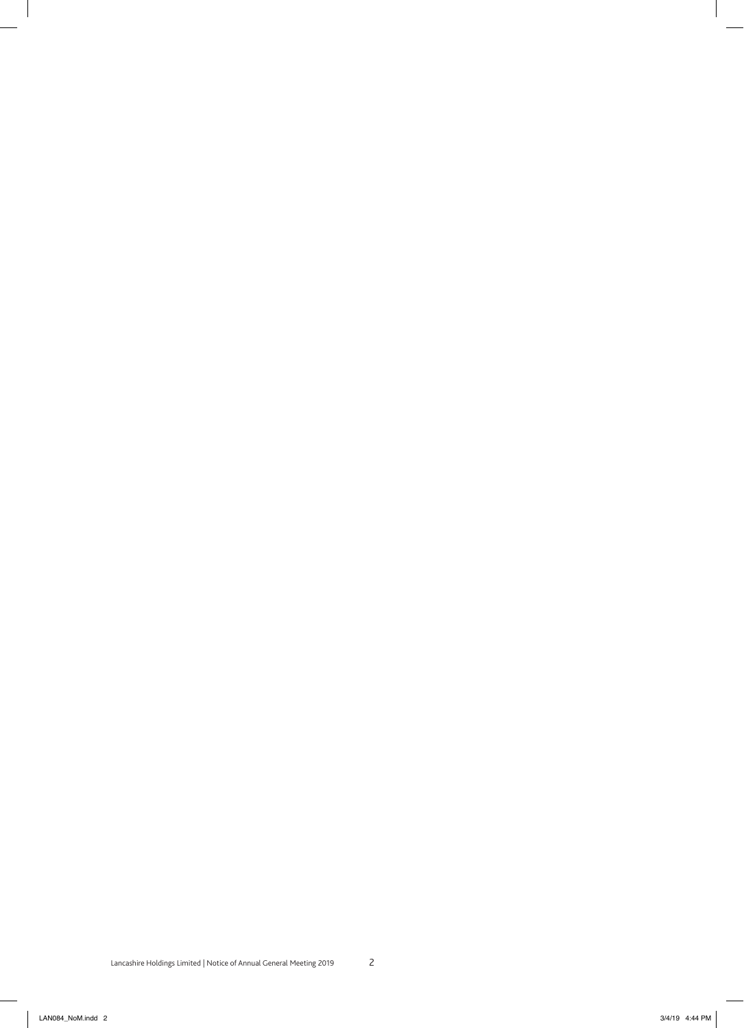$\overline{\phantom{a}}$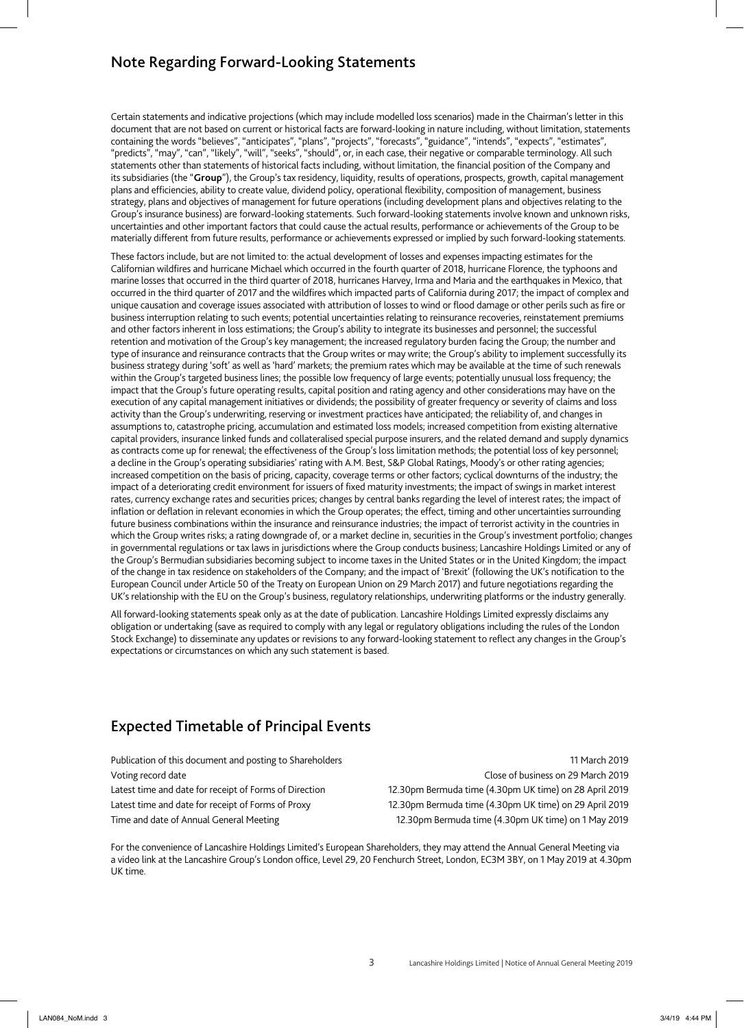# Note Regarding Forward-Looking Statements

Certain statements and indicative projections (which may include modelled loss scenarios) made in the Chairman's letter in this document that are not based on current or historical facts are forward-looking in nature including, without limitation, statements containing the words "believes", "anticipates", "plans", "projects", "forecasts", "guidance", "intends", "expects", "estimates", "predicts", "may", "can", "likely", "will", "seeks", "should", or, in each case, their negative or comparable terminology. All such statements other than statements of historical facts including, without limitation, the financial position of the Company and its subsidiaries (the "**Group**"), the Group's tax residency, liquidity, results of operations, prospects, growth, capital management plans and efficiencies, ability to create value, dividend policy, operational flexibility, composition of management, business strategy, plans and objectives of management for future operations (including development plans and objectives relating to the Group's insurance business) are forward-looking statements. Such forward-looking statements involve known and unknown risks, uncertainties and other important factors that could cause the actual results, performance or achievements of the Group to be materially different from future results, performance or achievements expressed or implied by such forward-looking statements.

These factors include, but are not limited to: the actual development of losses and expenses impacting estimates for the Californian wildfires and hurricane Michael which occurred in the fourth quarter of 2018, hurricane Florence, the typhoons and marine losses that occurred in the third quarter of 2018, hurricanes Harvey, Irma and Maria and the earthquakes in Mexico, that occurred in the third quarter of 2017 and the wildfires which impacted parts of California during 2017; the impact of complex and unique causation and coverage issues associated with attribution of losses to wind or flood damage or other perils such as fire or business interruption relating to such events; potential uncertainties relating to reinsurance recoveries, reinstatement premiums and other factors inherent in loss estimations; the Group's ability to integrate its businesses and personnel; the successful retention and motivation of the Group's key management; the increased regulatory burden facing the Group; the number and type of insurance and reinsurance contracts that the Group writes or may write; the Group's ability to implement successfully its business strategy during 'soft' as well as 'hard' markets; the premium rates which may be available at the time of such renewals within the Group's targeted business lines; the possible low frequency of large events; potentially unusual loss frequency; the impact that the Group's future operating results, capital position and rating agency and other considerations may have on the execution of any capital management initiatives or dividends; the possibility of greater frequency or severity of claims and loss activity than the Group's underwriting, reserving or investment practices have anticipated; the reliability of, and changes in assumptions to, catastrophe pricing, accumulation and estimated loss models; increased competition from existing alternative capital providers, insurance linked funds and collateralised special purpose insurers, and the related demand and supply dynamics as contracts come up for renewal; the effectiveness of the Group's loss limitation methods; the potential loss of key personnel; a decline in the Group's operating subsidiaries' rating with A.M. Best, S&P Global Ratings, Moody's or other rating agencies; increased competition on the basis of pricing, capacity, coverage terms or other factors; cyclical downturns of the industry; the impact of a deteriorating credit environment for issuers of fixed maturity investments; the impact of swings in market interest rates, currency exchange rates and securities prices; changes by central banks regarding the level of interest rates; the impact of inflation or deflation in relevant economies in which the Group operates; the effect, timing and other uncertainties surrounding future business combinations within the insurance and reinsurance industries; the impact of terrorist activity in the countries in which the Group writes risks; a rating downgrade of, or a market decline in, securities in the Group's investment portfolio; changes in governmental regulations or tax laws in jurisdictions where the Group conducts business; Lancashire Holdings Limited or any of the Group's Bermudian subsidiaries becoming subject to income taxes in the United States or in the United Kingdom; the impact of the change in tax residence on stakeholders of the Company; and the impact of 'Brexit' (following the UK's notification to the European Council under Article 50 of the Treaty on European Union on 29 March 2017) and future negotiations regarding the UK's relationship with the EU on the Group's business, regulatory relationships, underwriting platforms or the industry generally.

All forward-looking statements speak only as at the date of publication. Lancashire Holdings Limited expressly disclaims any obligation or undertaking (save as required to comply with any legal or regulatory obligations including the rules of the London Stock Exchange) to disseminate any updates or revisions to any forward-looking statement to reflect any changes in the Group's expectations or circumstances on which any such statement is based.

# Expected Timetable of Principal Events

Publication of this document and posting to Shareholders 11 March 2019 11 March 2019

Voting record date Close of business on 29 March 2019 Latest time and date for receipt of Forms of Direction 12.30pm Bermuda time (4.30pm UK time) on 28 April 2019 Latest time and date for receipt of Forms of Proxy 12.30pm Bermuda time (4.30pm UK time) on 29 April 2019 Time and date of Annual General Meeting 12.30pm Bermuda time (4.30pm UK time) on 1 May 2019

For the convenience of Lancashire Holdings Limited's European Shareholders, they may attend the Annual General Meeting via a video link at the Lancashire Group's London office, Level 29, 20 Fenchurch Street, London, EC3M 3BY, on 1 May 2019 at 4.30pm UK time.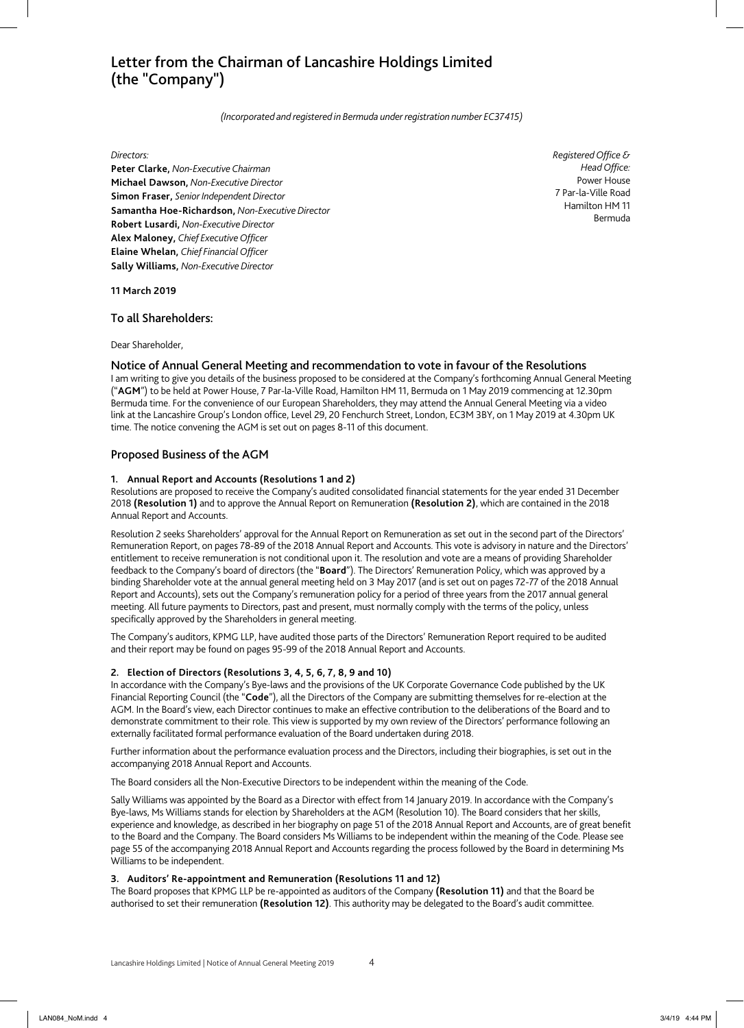# Letter from the Chairman of Lancashire Holdings Limited (the "Company")

*(Incorporated and registered in Bermuda under registration number EC37415)* 

*Directors:* 

**Peter Clarke,** *Non-Executive Chairman*  **Michael Dawson,** *Non-Executive Director*  **Simon Fraser,** *Senior Independent Director*  **Samantha Hoe-Richardson,** *Non-Executive Director*  **Robert Lusardi,** *Non-Executive Director*  **Alex Maloney,** *Chief Executive Officer*  **Elaine Whelan,** *Chief Financial Officer*  **Sally Williams,** *Non-Executive Director*

*Registered Office & Head Office:* Power House 7 Par-la-Ville Road Hamilton HM 11 Bermuda

**11 March 2019** 

## To all Shareholders:

Dear Shareholder,

### Notice of Annual General Meeting and recommendation to vote in favour of the Resolutions

I am writing to give you details of the business proposed to be considered at the Company's forthcoming Annual General Meeting ("**AGM**") to be held at Power House, 7 Par-la-Ville Road, Hamilton HM 11, Bermuda on 1 May 2019 commencing at 12.30pm Bermuda time. For the convenience of our European Shareholders, they may attend the Annual General Meeting via a video link at the Lancashire Group's London office, Level 29, 20 Fenchurch Street, London, EC3M 3BY, on 1 May 2019 at 4.30pm UK time. The notice convening the AGM is set out on pages 8-11 of this document.

## Proposed Business of the AGM

### **1. Annual Report and Accounts (Resolutions 1 and 2)**

Resolutions are proposed to receive the Company's audited consolidated financial statements for the year ended 31 December 2018 **(Resolution 1)** and to approve the Annual Report on Remuneration **(Resolution 2)**, which are contained in the 2018 Annual Report and Accounts.

Resolution 2 seeks Shareholders' approval for the Annual Report on Remuneration as set out in the second part of the Directors' Remuneration Report, on pages 78-89 of the 2018 Annual Report and Accounts. This vote is advisory in nature and the Directors' entitlement to receive remuneration is not conditional upon it. The resolution and vote are a means of providing Shareholder feedback to the Company's board of directors (the "**Board**"). The Directors' Remuneration Policy, which was approved by a binding Shareholder vote at the annual general meeting held on 3 May 2017 (and is set out on pages 72-77 of the 2018 Annual Report and Accounts), sets out the Company's remuneration policy for a period of three years from the 2017 annual general meeting. All future payments to Directors, past and present, must normally comply with the terms of the policy, unless specifically approved by the Shareholders in general meeting.

The Company's auditors, KPMG LLP, have audited those parts of the Directors' Remuneration Report required to be audited and their report may be found on pages 95-99 of the 2018 Annual Report and Accounts.

### **2. Election of Directors (Resolutions 3, 4, 5, 6, 7, 8, 9 and 10)**

In accordance with the Company's Bye-laws and the provisions of the UK Corporate Governance Code published by the UK Financial Reporting Council (the "**Code**"), all the Directors of the Company are submitting themselves for re-election at the AGM. In the Board's view, each Director continues to make an effective contribution to the deliberations of the Board and to demonstrate commitment to their role. This view is supported by my own review of the Directors' performance following an externally facilitated formal performance evaluation of the Board undertaken during 2018.

Further information about the performance evaluation process and the Directors, including their biographies, is set out in the accompanying 2018 Annual Report and Accounts.

The Board considers all the Non-Executive Directors to be independent within the meaning of the Code.

Sally Williams was appointed by the Board as a Director with effect from 14 January 2019. In accordance with the Company's Bye-laws, Ms Williams stands for election by Shareholders at the AGM (Resolution 10). The Board considers that her skills, experience and knowledge, as described in her biography on page 51 of the 2018 Annual Report and Accounts, are of great benefit to the Board and the Company. The Board considers Ms Williams to be independent within the meaning of the Code. Please see page 55 of the accompanying 2018 Annual Report and Accounts regarding the process followed by the Board in determining Ms Williams to be independent.

### **3. Auditors' Re-appointment and Remuneration (Resolutions 11 and 12)**

The Board proposes that KPMG LLP be re-appointed as auditors of the Company **(Resolution 11)** and that the Board be authorised to set their remuneration **(Resolution 12)**. This authority may be delegated to the Board's audit committee.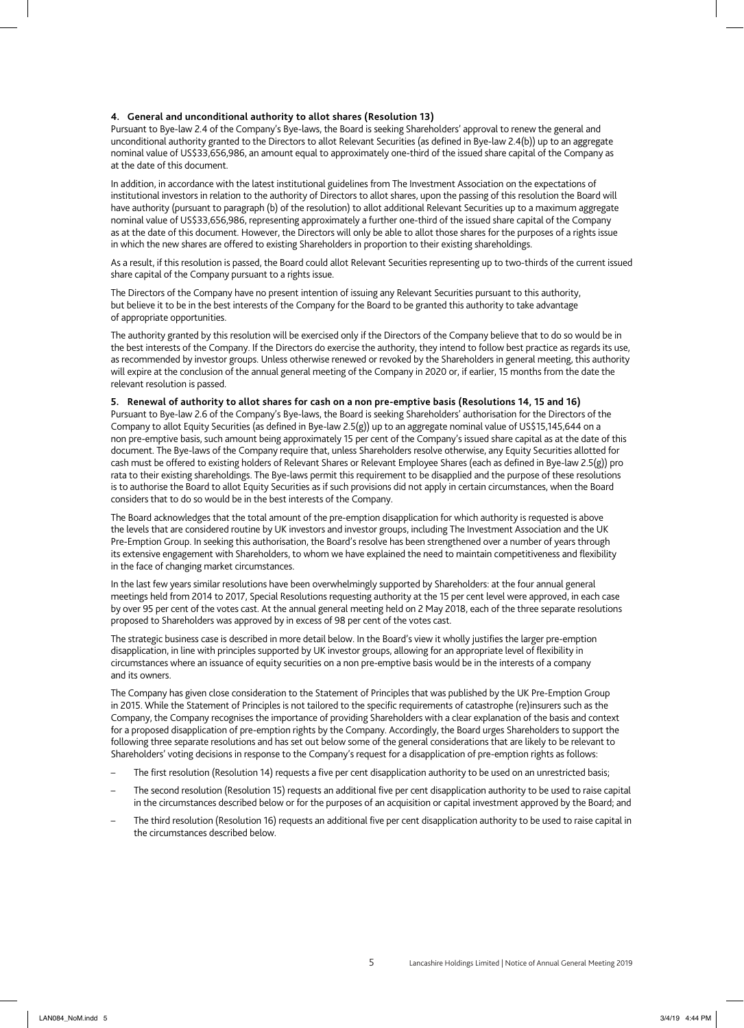#### **4. General and unconditional authority to allot shares (Resolution 13)**

Pursuant to Bye-law 2.4 of the Company's Bye-laws, the Board is seeking Shareholders' approval to renew the general and unconditional authority granted to the Directors to allot Relevant Securities (as defined in Bye-law 2.4(b)) up to an aggregate nominal value of US\$33,656,986, an amount equal to approximately one-third of the issued share capital of the Company as at the date of this document.

In addition, in accordance with the latest institutional guidelines from The Investment Association on the expectations of institutional investors in relation to the authority of Directors to allot shares, upon the passing of this resolution the Board will have authority (pursuant to paragraph (b) of the resolution) to allot additional Relevant Securities up to a maximum aggregate nominal value of US\$33,656,986, representing approximately a further one-third of the issued share capital of the Company as at the date of this document. However, the Directors will only be able to allot those shares for the purposes of a rights issue in which the new shares are offered to existing Shareholders in proportion to their existing shareholdings.

As a result, if this resolution is passed, the Board could allot Relevant Securities representing up to two-thirds of the current issued share capital of the Company pursuant to a rights issue.

The Directors of the Company have no present intention of issuing any Relevant Securities pursuant to this authority, but believe it to be in the best interests of the Company for the Board to be granted this authority to take advantage of appropriate opportunities.

The authority granted by this resolution will be exercised only if the Directors of the Company believe that to do so would be in the best interests of the Company. If the Directors do exercise the authority, they intend to follow best practice as regards its use, as recommended by investor groups. Unless otherwise renewed or revoked by the Shareholders in general meeting, this authority will expire at the conclusion of the annual general meeting of the Company in 2020 or, if earlier, 15 months from the date the relevant resolution is passed.

## **5. Renewal of authority to allot shares for cash on a non pre-emptive basis (Resolutions 14, 15 and 16)**

Pursuant to Bye-law 2.6 of the Company's Bye-laws, the Board is seeking Shareholders' authorisation for the Directors of the Company to allot Equity Securities (as defined in Bye-law 2.5(g)) up to an aggregate nominal value of US\$15,145,644 on a non pre-emptive basis, such amount being approximately 15 per cent of the Company's issued share capital as at the date of this document. The Bye-laws of the Company require that, unless Shareholders resolve otherwise, any Equity Securities allotted for cash must be offered to existing holders of Relevant Shares or Relevant Employee Shares (each as defined in Bye-law 2.5(g)) pro rata to their existing shareholdings. The Bye-laws permit this requirement to be disapplied and the purpose of these resolutions is to authorise the Board to allot Equity Securities as if such provisions did not apply in certain circumstances, when the Board considers that to do so would be in the best interests of the Company.

The Board acknowledges that the total amount of the pre-emption disapplication for which authority is requested is above the levels that are considered routine by UK investors and investor groups, including The Investment Association and the UK Pre-Emption Group. In seeking this authorisation, the Board's resolve has been strengthened over a number of years through its extensive engagement with Shareholders, to whom we have explained the need to maintain competitiveness and flexibility in the face of changing market circumstances.

In the last few years similar resolutions have been overwhelmingly supported by Shareholders: at the four annual general meetings held from 2014 to 2017, Special Resolutions requesting authority at the 15 per cent level were approved, in each case by over 95 per cent of the votes cast. At the annual general meeting held on 2 May 2018, each of the three separate resolutions proposed to Shareholders was approved by in excess of 98 per cent of the votes cast.

The strategic business case is described in more detail below. In the Board's view it wholly justifies the larger pre-emption disapplication, in line with principles supported by UK investor groups, allowing for an appropriate level of flexibility in circumstances where an issuance of equity securities on a non pre-emptive basis would be in the interests of a company and its owners.

The Company has given close consideration to the Statement of Principles that was published by the UK Pre-Emption Group in 2015. While the Statement of Principles is not tailored to the specific requirements of catastrophe (re)insurers such as the Company, the Company recognises the importance of providing Shareholders with a clear explanation of the basis and context for a proposed disapplication of pre-emption rights by the Company. Accordingly, the Board urges Shareholders to support the following three separate resolutions and has set out below some of the general considerations that are likely to be relevant to Shareholders' voting decisions in response to the Company's request for a disapplication of pre-emption rights as follows:

- The first resolution (Resolution 14) requests a five per cent disapplication authority to be used on an unrestricted basis;
- The second resolution (Resolution 15) requests an additional five per cent disapplication authority to be used to raise capital in the circumstances described below or for the purposes of an acquisition or capital investment approved by the Board; and
- The third resolution (Resolution 16) requests an additional five per cent disapplication authority to be used to raise capital in the circumstances described below.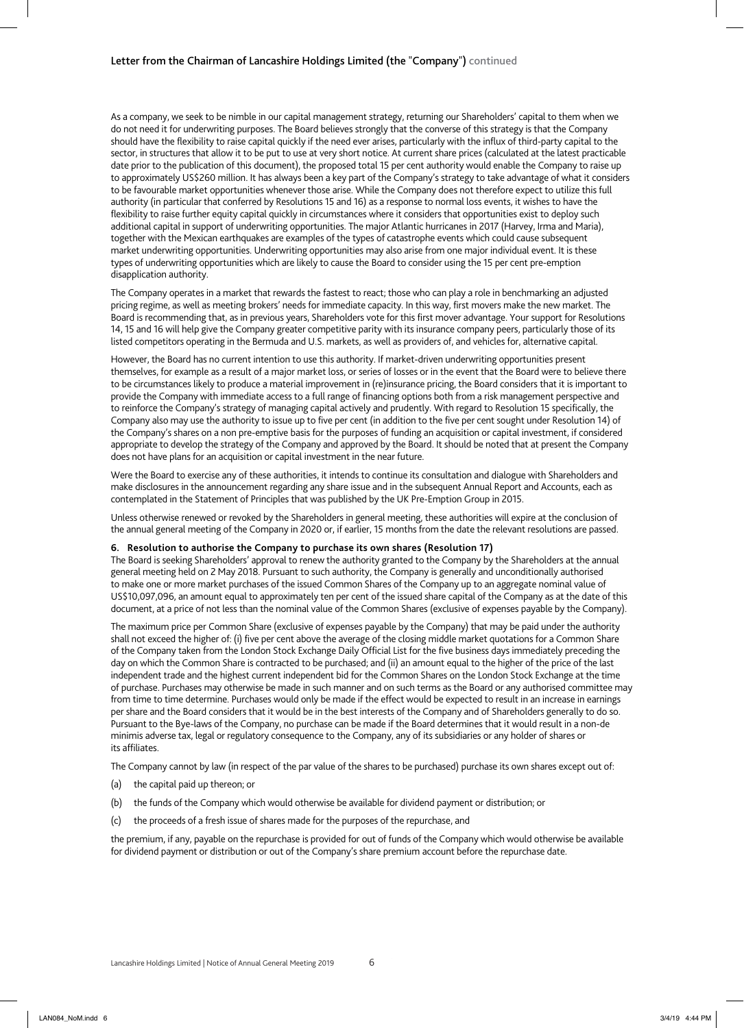#### Letter from the Chairman of Lancashire Holdings Limited (the "Company") continued

As a company, we seek to be nimble in our capital management strategy, returning our Shareholders' capital to them when we do not need it for underwriting purposes. The Board believes strongly that the converse of this strategy is that the Company should have the flexibility to raise capital quickly if the need ever arises, particularly with the influx of third-party capital to the sector, in structures that allow it to be put to use at very short notice. At current share prices (calculated at the latest practicable date prior to the publication of this document), the proposed total 15 per cent authority would enable the Company to raise up to approximately US\$260 million. It has always been a key part of the Company's strategy to take advantage of what it considers to be favourable market opportunities whenever those arise. While the Company does not therefore expect to utilize this full authority (in particular that conferred by Resolutions 15 and 16) as a response to normal loss events, it wishes to have the flexibility to raise further equity capital quickly in circumstances where it considers that opportunities exist to deploy such additional capital in support of underwriting opportunities. The major Atlantic hurricanes in 2017 (Harvey, Irma and Maria), together with the Mexican earthquakes are examples of the types of catastrophe events which could cause subsequent market underwriting opportunities. Underwriting opportunities may also arise from one major individual event. It is these types of underwriting opportunities which are likely to cause the Board to consider using the 15 per cent pre-emption disapplication authority.

The Company operates in a market that rewards the fastest to react; those who can play a role in benchmarking an adjusted pricing regime, as well as meeting brokers' needs for immediate capacity. In this way, first movers make the new market. The Board is recommending that, as in previous years, Shareholders vote for this first mover advantage. Your support for Resolutions 14, 15 and 16 will help give the Company greater competitive parity with its insurance company peers, particularly those of its listed competitors operating in the Bermuda and U.S. markets, as well as providers of, and vehicles for, alternative capital.

However, the Board has no current intention to use this authority. If market-driven underwriting opportunities present themselves, for example as a result of a major market loss, or series of losses or in the event that the Board were to believe there to be circumstances likely to produce a material improvement in (re)insurance pricing, the Board considers that it is important to provide the Company with immediate access to a full range of financing options both from a risk management perspective and to reinforce the Company's strategy of managing capital actively and prudently. With regard to Resolution 15 specifically, the Company also may use the authority to issue up to five per cent (in addition to the five per cent sought under Resolution 14) of the Company's shares on a non pre-emptive basis for the purposes of funding an acquisition or capital investment, if considered appropriate to develop the strategy of the Company and approved by the Board. It should be noted that at present the Company does not have plans for an acquisition or capital investment in the near future.

Were the Board to exercise any of these authorities, it intends to continue its consultation and dialogue with Shareholders and make disclosures in the announcement regarding any share issue and in the subsequent Annual Report and Accounts, each as contemplated in the Statement of Principles that was published by the UK Pre-Emption Group in 2015.

Unless otherwise renewed or revoked by the Shareholders in general meeting, these authorities will expire at the conclusion of the annual general meeting of the Company in 2020 or, if earlier, 15 months from the date the relevant resolutions are passed.

#### **6. Resolution to authorise the Company to purchase its own shares (Resolution 17)**

The Board is seeking Shareholders' approval to renew the authority granted to the Company by the Shareholders at the annual general meeting held on 2 May 2018. Pursuant to such authority, the Company is generally and unconditionally authorised to make one or more market purchases of the issued Common Shares of the Company up to an aggregate nominal value of US\$10,097,096, an amount equal to approximately ten per cent of the issued share capital of the Company as at the date of this document, at a price of not less than the nominal value of the Common Shares (exclusive of expenses payable by the Company).

The maximum price per Common Share (exclusive of expenses payable by the Company) that may be paid under the authority shall not exceed the higher of: (i) five per cent above the average of the closing middle market quotations for a Common Share of the Company taken from the London Stock Exchange Daily Official List for the five business days immediately preceding the day on which the Common Share is contracted to be purchased; and (ii) an amount equal to the higher of the price of the last independent trade and the highest current independent bid for the Common Shares on the London Stock Exchange at the time of purchase. Purchases may otherwise be made in such manner and on such terms as the Board or any authorised committee may from time to time determine. Purchases would only be made if the effect would be expected to result in an increase in earnings per share and the Board considers that it would be in the best interests of the Company and of Shareholders generally to do so. Pursuant to the Bye-laws of the Company, no purchase can be made if the Board determines that it would result in a non-de minimis adverse tax, legal or regulatory consequence to the Company, any of its subsidiaries or any holder of shares or its affiliates.

The Company cannot by law (in respect of the par value of the shares to be purchased) purchase its own shares except out of:

- (a) the capital paid up thereon; or
- (b) the funds of the Company which would otherwise be available for dividend payment or distribution; or
- (c) the proceeds of a fresh issue of shares made for the purposes of the repurchase, and

the premium, if any, payable on the repurchase is provided for out of funds of the Company which would otherwise be available for dividend payment or distribution or out of the Company's share premium account before the repurchase date.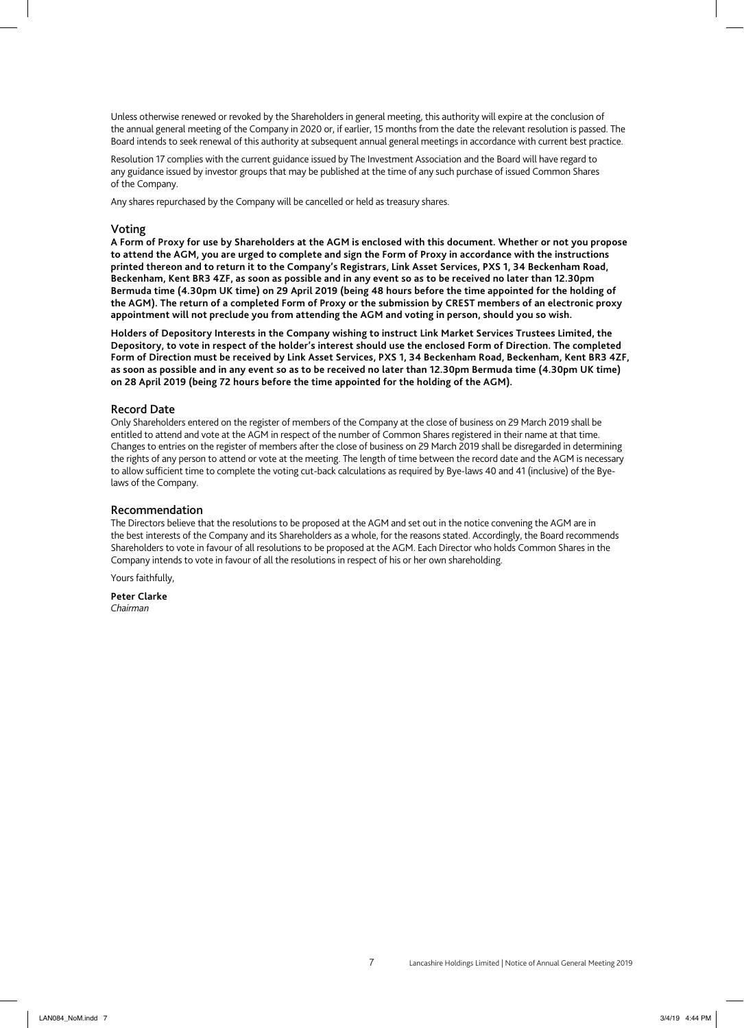Unless otherwise renewed or revoked by the Shareholders in general meeting, this authority will expire at the conclusion of the annual general meeting of the Company in 2020 or, if earlier, 15 months from the date the relevant resolution is passed. The Board intends to seek renewal of this authority at subsequent annual general meetings in accordance with current best practice.

Resolution 17 complies with the current guidance issued by The Investment Association and the Board will have regard to any guidance issued by investor groups that may be published at the time of any such purchase of issued Common Shares of the Company.

Any shares repurchased by the Company will be cancelled or held as treasury shares.

#### Voting

**A Form of Proxy for use by Shareholders at the AGM is enclosed with this document. Whether or not you propose to attend the AGM, you are urged to complete and sign the Form of Proxy in accordance with the instructions printed thereon and to return it to the Company's Registrars, Link Asset Services, PXS 1, 34 Beckenham Road, Beckenham, Kent BR3 4ZF, as soon as possible and in any event so as to be received no later than 12.30pm Bermuda time (4.30pm UK time) on 29 April 2019 (being 48 hours before the time appointed for the holding of the AGM). The return of a completed Form of Proxy or the submission by CREST members of an electronic proxy appointment will not preclude you from attending the AGM and voting in person, should you so wish.** 

**Holders of Depository Interests in the Company wishing to instruct Link Market Services Trustees Limited, the Depository, to vote in respect of the holder's interest should use the enclosed Form of Direction. The completed Form of Direction must be received by Link Asset Services, PXS 1, 34 Beckenham Road, Beckenham, Kent BR3 4ZF, as soon as possible and in any event so as to be received no later than 12.30pm Bermuda time (4.30pm UK time) on 28 April 2019 (being 72 hours before the time appointed for the holding of the AGM).** 

### Record Date

Only Shareholders entered on the register of members of the Company at the close of business on 29 March 2019 shall be entitled to attend and vote at the AGM in respect of the number of Common Shares registered in their name at that time. Changes to entries on the register of members after the close of business on 29 March 2019 shall be disregarded in determining the rights of any person to attend or vote at the meeting. The length of time between the record date and the AGM is necessary to allow sufficient time to complete the voting cut-back calculations as required by Bye-laws 40 and 41 (inclusive) of the Byelaws of the Company.

#### Recommendation

The Directors believe that the resolutions to be proposed at the AGM and set out in the notice convening the AGM are in the best interests of the Company and its Shareholders as a whole, for the reasons stated. Accordingly, the Board recommends Shareholders to vote in favour of all resolutions to be proposed at the AGM. Each Director who holds Common Shares in the Company intends to vote in favour of all the resolutions in respect of his or her own shareholding.

Yours faithfully,

**Peter Clarke**  *Chairman*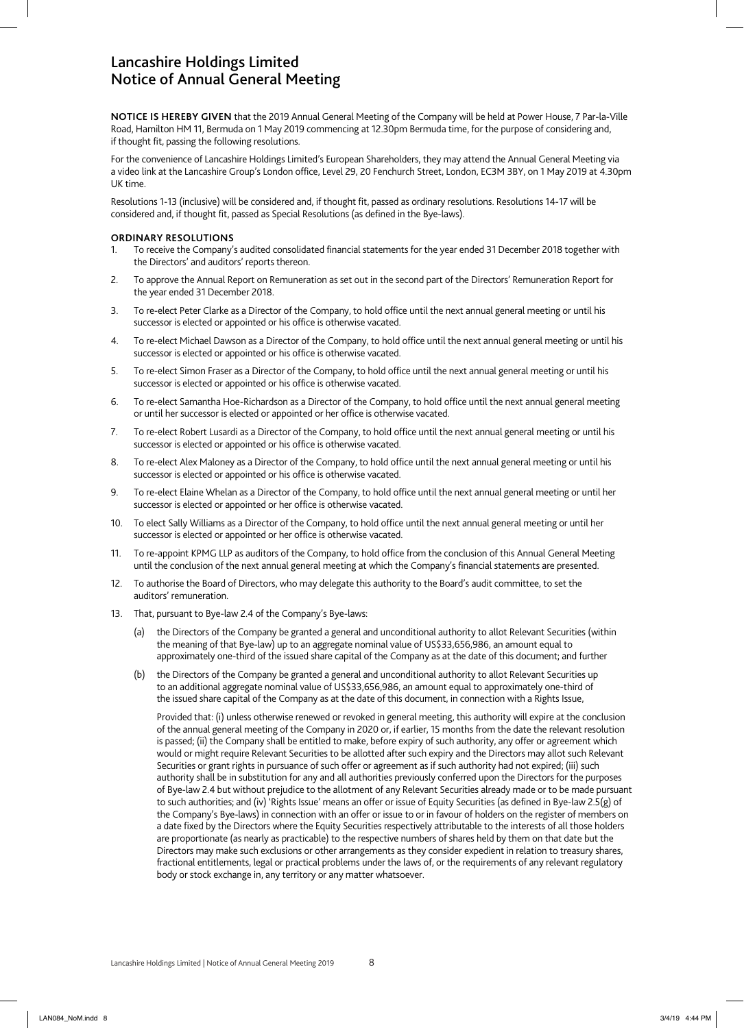# Lancashire Holdings Limited Notice of Annual General Meeting

**NOTICE IS HEREBY GIVEN** that the 2019 Annual General Meeting of the Company will be held at Power House, 7 Par-la-Ville Road, Hamilton HM 11, Bermuda on 1 May 2019 commencing at 12.30pm Bermuda time, for the purpose of considering and, if thought fit, passing the following resolutions.

For the convenience of Lancashire Holdings Limited's European Shareholders, they may attend the Annual General Meeting via a video link at the Lancashire Group's London office, Level 29, 20 Fenchurch Street, London, EC3M 3BY, on 1 May 2019 at 4.30pm UK time.

Resolutions 1-13 (inclusive) will be considered and, if thought fit, passed as ordinary resolutions. Resolutions 14-17 will be considered and, if thought fit, passed as Special Resolutions (as defined in the Bye-laws).

### **ORDINARY RESOLUTIONS**

- 1. To receive the Company's audited consolidated financial statements for the year ended 31 December 2018 together with the Directors' and auditors' reports thereon.
- 2. To approve the Annual Report on Remuneration as set out in the second part of the Directors' Remuneration Report for the year ended 31 December 2018.
- 3. To re-elect Peter Clarke as a Director of the Company, to hold office until the next annual general meeting or until his successor is elected or appointed or his office is otherwise vacated.
- 4. To re-elect Michael Dawson as a Director of the Company, to hold office until the next annual general meeting or until his successor is elected or appointed or his office is otherwise vacated.
- 5. To re-elect Simon Fraser as a Director of the Company, to hold office until the next annual general meeting or until his successor is elected or appointed or his office is otherwise vacated.
- 6. To re-elect Samantha Hoe-Richardson as a Director of the Company, to hold office until the next annual general meeting or until her successor is elected or appointed or her office is otherwise vacated.
- 7. To re-elect Robert Lusardi as a Director of the Company, to hold office until the next annual general meeting or until his successor is elected or appointed or his office is otherwise vacated.
- 8. To re-elect Alex Maloney as a Director of the Company, to hold office until the next annual general meeting or until his successor is elected or appointed or his office is otherwise vacated.
- 9. To re-elect Elaine Whelan as a Director of the Company, to hold office until the next annual general meeting or until her successor is elected or appointed or her office is otherwise vacated.
- 10. To elect Sally Williams as a Director of the Company, to hold office until the next annual general meeting or until her successor is elected or appointed or her office is otherwise vacated.
- 11. To re-appoint KPMG LLP as auditors of the Company, to hold office from the conclusion of this Annual General Meeting until the conclusion of the next annual general meeting at which the Company's financial statements are presented.
- 12. To authorise the Board of Directors, who may delegate this authority to the Board's audit committee, to set the auditors' remuneration.
- 13. That, pursuant to Bye-law 2.4 of the Company's Bye-laws:
	- (a) the Directors of the Company be granted a general and unconditional authority to allot Relevant Securities (within the meaning of that Bye-law) up to an aggregate nominal value of US\$33,656,986, an amount equal to approximately one-third of the issued share capital of the Company as at the date of this document; and further
	- (b) the Directors of the Company be granted a general and unconditional authority to allot Relevant Securities up to an additional aggregate nominal value of US\$33,656,986, an amount equal to approximately one-third of the issued share capital of the Company as at the date of this document, in connection with a Rights Issue,

Provided that: (i) unless otherwise renewed or revoked in general meeting, this authority will expire at the conclusion of the annual general meeting of the Company in 2020 or, if earlier, 15 months from the date the relevant resolution is passed; (ii) the Company shall be entitled to make, before expiry of such authority, any offer or agreement which would or might require Relevant Securities to be allotted after such expiry and the Directors may allot such Relevant Securities or grant rights in pursuance of such offer or agreement as if such authority had not expired; (iii) such authority shall be in substitution for any and all authorities previously conferred upon the Directors for the purposes of Bye-law 2.4 but without prejudice to the allotment of any Relevant Securities already made or to be made pursuant to such authorities; and (iv) 'Rights Issue' means an offer or issue of Equity Securities (as defined in Bye-law 2.5(g) of the Company's Bye-laws) in connection with an offer or issue to or in favour of holders on the register of members on a date fixed by the Directors where the Equity Securities respectively attributable to the interests of all those holders are proportionate (as nearly as practicable) to the respective numbers of shares held by them on that date but the Directors may make such exclusions or other arrangements as they consider expedient in relation to treasury shares, fractional entitlements, legal or practical problems under the laws of, or the requirements of any relevant regulatory body or stock exchange in, any territory or any matter whatsoever.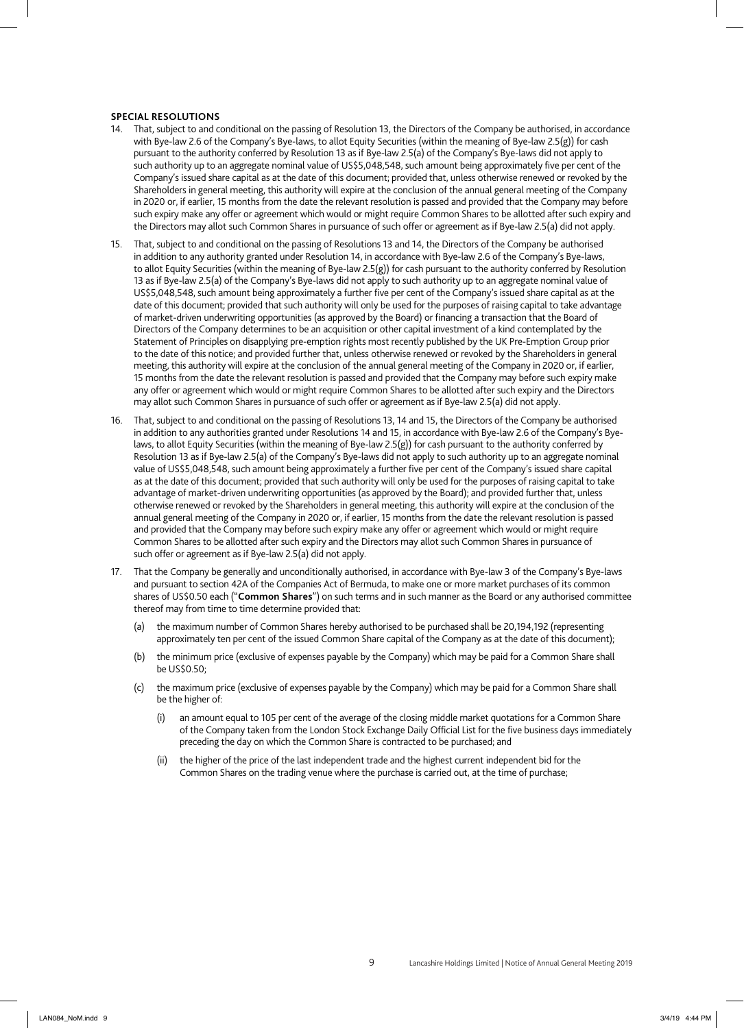## **SPECIAL RESOLUTIONS**

- 14. That, subject to and conditional on the passing of Resolution 13, the Directors of the Company be authorised, in accordance with Bye-law 2.6 of the Company's Bye-laws, to allot Equity Securities (within the meaning of Bye-law 2.5(g)) for cash pursuant to the authority conferred by Resolution 13 as if Bye-law 2.5(a) of the Company's Bye-laws did not apply to such authority up to an aggregate nominal value of US\$5,048,548, such amount being approximately five per cent of the Company's issued share capital as at the date of this document; provided that, unless otherwise renewed or revoked by the Shareholders in general meeting, this authority will expire at the conclusion of the annual general meeting of the Company in 2020 or, if earlier, 15 months from the date the relevant resolution is passed and provided that the Company may before such expiry make any offer or agreement which would or might require Common Shares to be allotted after such expiry and the Directors may allot such Common Shares in pursuance of such offer or agreement as if Bye-law 2.5(a) did not apply.
- 15. That, subject to and conditional on the passing of Resolutions 13 and 14, the Directors of the Company be authorised in addition to any authority granted under Resolution 14, in accordance with Bye-law 2.6 of the Company's Bye-laws, to allot Equity Securities (within the meaning of Bye-law 2.5(g)) for cash pursuant to the authority conferred by Resolution 13 as if Bye-law 2.5(a) of the Company's Bye-laws did not apply to such authority up to an aggregate nominal value of US\$5,048,548, such amount being approximately a further five per cent of the Company's issued share capital as at the date of this document; provided that such authority will only be used for the purposes of raising capital to take advantage of market-driven underwriting opportunities (as approved by the Board) or financing a transaction that the Board of Directors of the Company determines to be an acquisition or other capital investment of a kind contemplated by the Statement of Principles on disapplying pre-emption rights most recently published by the UK Pre-Emption Group prior to the date of this notice; and provided further that, unless otherwise renewed or revoked by the Shareholders in general meeting, this authority will expire at the conclusion of the annual general meeting of the Company in 2020 or, if earlier, 15 months from the date the relevant resolution is passed and provided that the Company may before such expiry make any offer or agreement which would or might require Common Shares to be allotted after such expiry and the Directors may allot such Common Shares in pursuance of such offer or agreement as if Bye-law 2.5(a) did not apply.
- 16. That, subject to and conditional on the passing of Resolutions 13, 14 and 15, the Directors of the Company be authorised in addition to any authorities granted under Resolutions 14 and 15, in accordance with Bye-law 2.6 of the Company's Byelaws, to allot Equity Securities (within the meaning of Bye-law 2.5(g)) for cash pursuant to the authority conferred by Resolution 13 as if Bye-law 2.5(a) of the Company's Bye-laws did not apply to such authority up to an aggregate nominal value of US\$5,048,548, such amount being approximately a further five per cent of the Company's issued share capital as at the date of this document; provided that such authority will only be used for the purposes of raising capital to take advantage of market-driven underwriting opportunities (as approved by the Board); and provided further that, unless otherwise renewed or revoked by the Shareholders in general meeting, this authority will expire at the conclusion of the annual general meeting of the Company in 2020 or, if earlier, 15 months from the date the relevant resolution is passed and provided that the Company may before such expiry make any offer or agreement which would or might require Common Shares to be allotted after such expiry and the Directors may allot such Common Shares in pursuance of such offer or agreement as if Bye-law 2.5(a) did not apply.
- 17. That the Company be generally and unconditionally authorised, in accordance with Bye-law 3 of the Company's Bye-laws and pursuant to section 42A of the Companies Act of Bermuda, to make one or more market purchases of its common shares of US\$0.50 each ("**Common Shares**") on such terms and in such manner as the Board or any authorised committee thereof may from time to time determine provided that:
	- (a) the maximum number of Common Shares hereby authorised to be purchased shall be 20,194,192 (representing approximately ten per cent of the issued Common Share capital of the Company as at the date of this document);
	- (b) the minimum price (exclusive of expenses payable by the Company) which may be paid for a Common Share shall be US\$0.50;
	- (c) the maximum price (exclusive of expenses payable by the Company) which may be paid for a Common Share shall be the higher of:
		- an amount equal to 105 per cent of the average of the closing middle market quotations for a Common Share of the Company taken from the London Stock Exchange Daily Official List for the five business days immediately preceding the day on which the Common Share is contracted to be purchased; and
		- the higher of the price of the last independent trade and the highest current independent bid for the Common Shares on the trading venue where the purchase is carried out, at the time of purchase;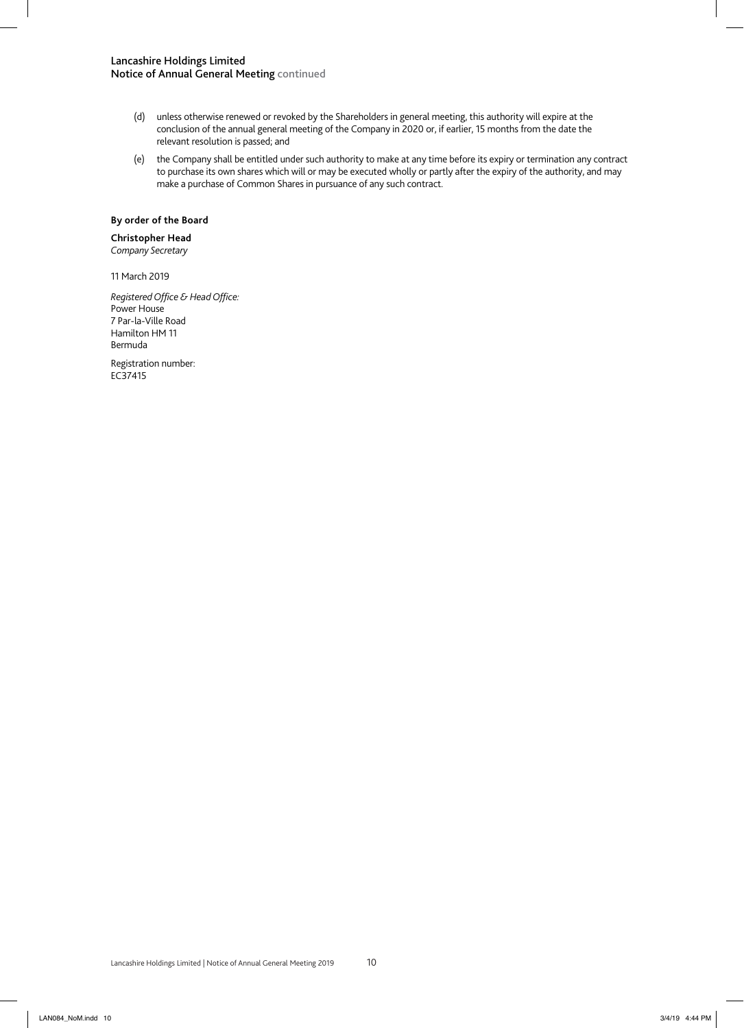## Lancashire Holdings Limited Notice of Annual General Meeting continued

- (d) unless otherwise renewed or revoked by the Shareholders in general meeting, this authority will expire at the conclusion of the annual general meeting of the Company in 2020 or, if earlier, 15 months from the date the relevant resolution is passed; and
- (e) the Company shall be entitled under such authority to make at any time before its expiry or termination any contract to purchase its own shares which will or may be executed wholly or partly after the expiry of the authority, and may make a purchase of Common Shares in pursuance of any such contract.

## **By order of the Board**

**Christopher Head**  *Company Secretary* 

11 March 2019

*Registered Office & Head Office:*  Power House 7 Par-la-Ville Road Hamilton HM 11 Bermuda

Registration number: EC37415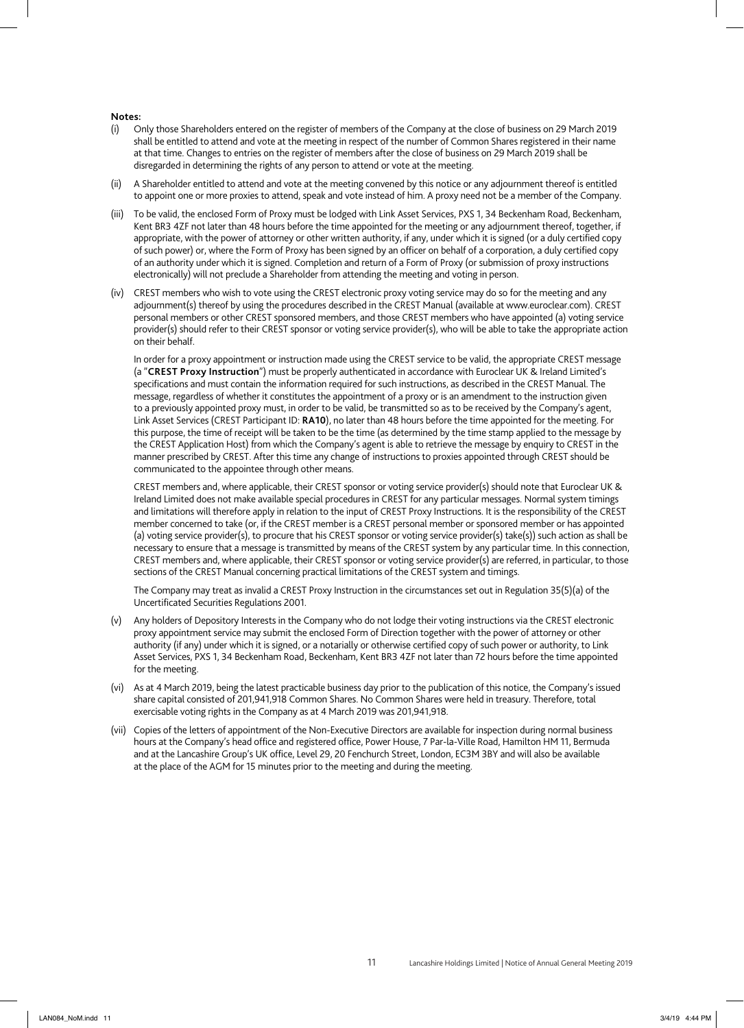#### **Notes:**

- (i) Only those Shareholders entered on the register of members of the Company at the close of business on 29 March 2019 shall be entitled to attend and vote at the meeting in respect of the number of Common Shares registered in their name at that time. Changes to entries on the register of members after the close of business on 29 March 2019 shall be disregarded in determining the rights of any person to attend or vote at the meeting.
- (ii) A Shareholder entitled to attend and vote at the meeting convened by this notice or any adjournment thereof is entitled to appoint one or more proxies to attend, speak and vote instead of him. A proxy need not be a member of the Company.
- (iii) To be valid, the enclosed Form of Proxy must be lodged with Link Asset Services, PXS 1, 34 Beckenham Road, Beckenham, Kent BR3 4ZF not later than 48 hours before the time appointed for the meeting or any adjournment thereof, together, if appropriate, with the power of attorney or other written authority, if any, under which it is signed (or a duly certified copy of such power) or, where the Form of Proxy has been signed by an officer on behalf of a corporation, a duly certified copy of an authority under which it is signed. Completion and return of a Form of Proxy (or submission of proxy instructions electronically) will not preclude a Shareholder from attending the meeting and voting in person.
- (iv) CREST members who wish to vote using the CREST electronic proxy voting service may do so for the meeting and any adjournment(s) thereof by using the procedures described in the CREST Manual (available at www.euroclear.com). CREST personal members or other CREST sponsored members, and those CREST members who have appointed (a) voting service provider(s) should refer to their CREST sponsor or voting service provider(s), who will be able to take the appropriate action on their behalf.

In order for a proxy appointment or instruction made using the CREST service to be valid, the appropriate CREST message (a "**CREST Proxy Instruction**") must be properly authenticated in accordance with Euroclear UK & Ireland Limited's specifications and must contain the information required for such instructions, as described in the CREST Manual. The message, regardless of whether it constitutes the appointment of a proxy or is an amendment to the instruction given to a previously appointed proxy must, in order to be valid, be transmitted so as to be received by the Company's agent, Link Asset Services (CREST Participant ID: **RA10**), no later than 48 hours before the time appointed for the meeting. For this purpose, the time of receipt will be taken to be the time (as determined by the time stamp applied to the message by the CREST Application Host) from which the Company's agent is able to retrieve the message by enquiry to CREST in the manner prescribed by CREST. After this time any change of instructions to proxies appointed through CREST should be communicated to the appointee through other means.

CREST members and, where applicable, their CREST sponsor or voting service provider(s) should note that Euroclear UK & Ireland Limited does not make available special procedures in CREST for any particular messages. Normal system timings and limitations will therefore apply in relation to the input of CREST Proxy Instructions. It is the responsibility of the CREST member concerned to take (or, if the CREST member is a CREST personal member or sponsored member or has appointed (a) voting service provider(s), to procure that his CREST sponsor or voting service provider(s) take(s)) such action as shall be necessary to ensure that a message is transmitted by means of the CREST system by any particular time. In this connection, CREST members and, where applicable, their CREST sponsor or voting service provider(s) are referred, in particular, to those sections of the CREST Manual concerning practical limitations of the CREST system and timings.

The Company may treat as invalid a CREST Proxy Instruction in the circumstances set out in Regulation 35(5)(a) of the Uncertificated Securities Regulations 2001.

- (v) Any holders of Depository Interests in the Company who do not lodge their voting instructions via the CREST electronic proxy appointment service may submit the enclosed Form of Direction together with the power of attorney or other authority (if any) under which it is signed, or a notarially or otherwise certified copy of such power or authority, to Link Asset Services, PXS 1, 34 Beckenham Road, Beckenham, Kent BR3 4ZF not later than 72 hours before the time appointed for the meeting.
- (vi) As at 4 March 2019, being the latest practicable business day prior to the publication of this notice, the Company's issued share capital consisted of 201,941,918 Common Shares. No Common Shares were held in treasury. Therefore, total exercisable voting rights in the Company as at 4 March 2019 was 201,941,918.
- (vii) Copies of the letters of appointment of the Non-Executive Directors are available for inspection during normal business hours at the Company's head office and registered office, Power House, 7 Par-la-Ville Road, Hamilton HM 11, Bermuda and at the Lancashire Group's UK office, Level 29, 20 Fenchurch Street, London, EC3M 3BY and will also be available at the place of the AGM for 15 minutes prior to the meeting and during the meeting.

 $\mathcal{L}_{\text{max}}$  Lancashire Holdings Limited  $\mathcal{L}_{\text{max}}$